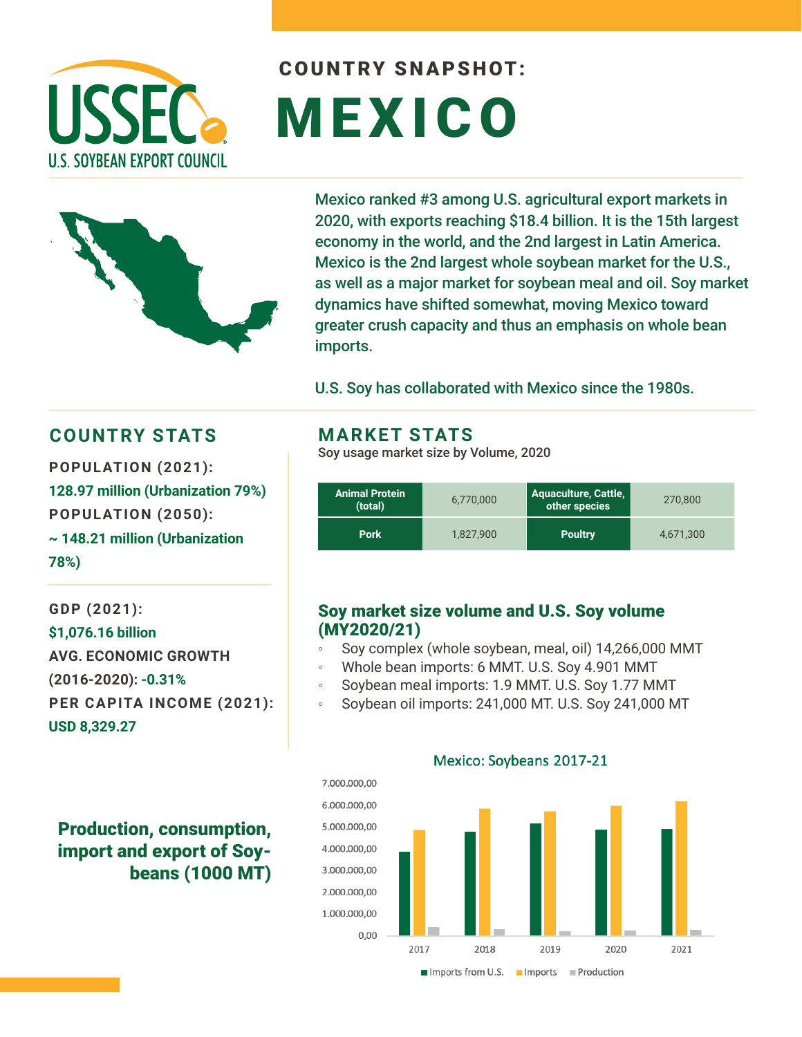

# COUNTRY SNAPSHOT: MEXICO



Mexico ranked #3 among U.S. agricultural export markets in 2020, with exports reaching \$18.4 billion. It is the 15th largest economy in the world, and the 2nd largest in Latin America. Mexico is the 2nd largest whole soybean market for the U.S., as well as a major market for soybean meal and oil. Soy market dynamics have shifted somewhat, moving Mexico toward greater crush capacity and thus an emphasis on whole bean imports.

U.S. Soy has collaborated with Mexico since the 1980s.

### **COUNTRY STATS MARKET STATS**

**POPULATION (2021): 128.97 million (Urbanization 79%) POPULATION (2050): ~ 148.21 million (Urbanization 78%)** 

**GDP (2021): \$1,076.16 billion AVG. ECONOMIC GROWTH (2016-2020): -0.31% PER CAPITA INCOME (2021): USD 8,329.27**

## Production, consumption, import and export of Soybeans (1000 MT)

Soy usage market size by Volume, 2020

| Animal Protein<br>(total) | 6,770,000 | <b>Aquaculture, Cattle,</b><br>other species | 270,800   |
|---------------------------|-----------|----------------------------------------------|-----------|
| <b>Pork</b>               | 1.827.900 | <b>Poultry</b>                               | 4,671,300 |

#### Soy market size volume and U.S. Soy volume (MY2020/21)

- Soy complex (whole soybean, meal, oil) 14,266,000 MMT
- Whole bean imports: 6 MMT. U.S. Soy 4.901 MMT
- Soybean meal imports: 1.9 MMT. U.S. Soy 1.77 MMT
- Soybean oil imports: 241,000 MT. U.S. Soy 241,000 MT



#### Mexico: Soybeans 2017-21